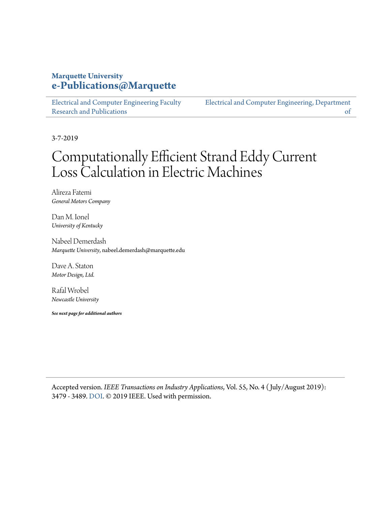### **Marquette University [e-Publications@Marquette](https://epublications.marquette.edu/)**

[Electrical and Computer Engineering Faculty](https://epublications.marquette.edu/electric_fac) [Research and Publications](https://epublications.marquette.edu/electric_fac)

[Electrical and Computer Engineering, Department](https://epublications.marquette.edu/electric) [of](https://epublications.marquette.edu/electric)

3-7-2019

## Computationally Efficient Strand Eddy Current Loss Calculation in Electric Machines

Alireza Fatemi *General Motors Company*

Dan M. Ionel *University of Kentucky*

Nabeel Demerdash *Marquette University*, nabeel.demerdash@marquette.edu

Dave A. Staton *Motor Design, Ltd.*

Rafal Wrobel *Newcastle University*

*See next page for additional authors*

Accepted version. *IEEE Transactions on Industry Applications*, Vol. 55, No. 4 ( July/August 2019): 3479 - 3489. [DOI.](https://doi.org/10.1109/TIA.2019.2903406) © 2019 IEEE. Used with permission.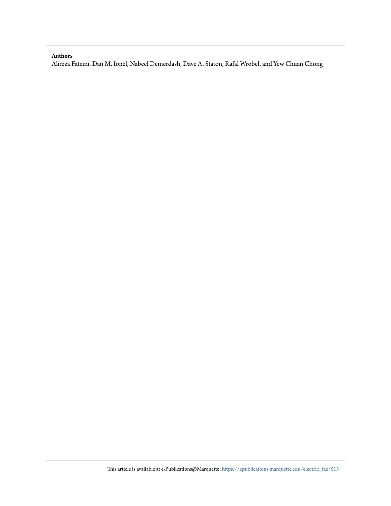#### **Authors**

Alireza Fatemi, Dan M. Ionel, Nabeel Demerdash, Dave A. Staton, Rafal Wrobel, and Yew Chuan Chong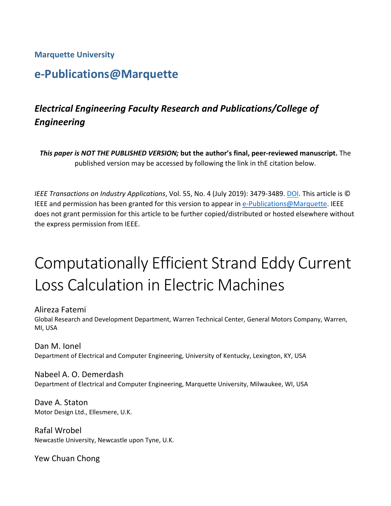### **Marquette University**

### **e-Publications@Marquette**

### *Electrical Engineering Faculty Research and Publications/College of Engineering*

*This paper is NOT THE PUBLISHED VERSION;* **but the author's final, peer-reviewed manuscript.** The published version may be accessed by following the link in thE citation below.

*IEEE Transactions on Industry Applications*, Vol. 55, No. 4 (July 2019): 3479-3489. DOI. This article is © IEEE and permission has been granted for this version to appear in [e-Publications@Marquette.](http://epublications.marquette.edu/) IEEE does not grant permission for this article to be further copied/distributed or hosted elsewhere without the express permission from IEEE.

# Computationally Efficient Strand Eddy Current Loss Calculation in Electric Machines

Alireza Fatemi Global Research and Development Department, Warren Technical Center, General Motors Company, Warren, MI, USA

Dan M. Ionel Department of Electrical and Computer Engineering, University of Kentucky, Lexington, KY, USA

Nabeel A. O. Demerdash Department of Electrical and Computer Engineering, Marquette University, Milwaukee, WI, USA

Dave A. Staton Motor Design Ltd., Ellesmere, U.K.

Rafal Wrobel Newcastle University, Newcastle upon Tyne, U.K.

Yew Chuan Chong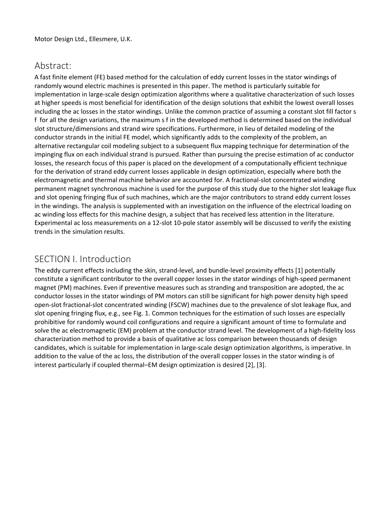### Abstract:

A fast finite element (FE) based method for the calculation of eddy current losses in the stator windings of randomly wound electric machines is presented in this paper. The method is particularly suitable for implementation in large-scale design optimization algorithms where a qualitative characterization of such losses at higher speeds is most beneficial for identification of the design solutions that exhibit the lowest overall losses including the ac losses in the stator windings. Unlike the common practice of assuming a constant slot fill factor s f for all the design variations, the maximum s f in the developed method is determined based on the individual slot structure/dimensions and strand wire specifications. Furthermore, in lieu of detailed modeling of the conductor strands in the initial FE model, which significantly adds to the complexity of the problem, an alternative rectangular coil modeling subject to a subsequent flux mapping technique for determination of the impinging flux on each individual strand is pursued. Rather than pursuing the precise estimation of ac conductor losses, the research focus of this paper is placed on the development of a computationally efficient technique for the derivation of strand eddy current losses applicable in design optimization, especially where both the electromagnetic and thermal machine behavior are accounted for. A fractional-slot concentrated winding permanent magnet synchronous machine is used for the purpose of this study due to the higher slot leakage flux and slot opening fringing flux of such machines, which are the major contributors to strand eddy current losses in the windings. The analysis is supplemented with an investigation on the influence of the electrical loading on ac winding loss effects for this machine design, a subject that has received less attention in the literature. Experimental ac loss measurements on a 12-slot 10-pole stator assembly will be discussed to verify the existing trends in the simulation results.

### SECTION I. Introduction

The eddy current effects including the skin, strand-level, and bundle-level proximity effects [1] potentially constitute a significant contributor to the overall copper losses in the stator windings of high-speed permanent magnet (PM) machines. Even if preventive measures such as stranding and transposition are adopted, the ac conductor losses in the stator windings of PM motors can still be significant for high power density high speed open-slot fractional-slot concentrated winding (FSCW) machines due to the prevalence of slot leakage flux, and slot opening fringing flux, e.g., see Fig. 1. Common techniques for the estimation of such losses are especially prohibitive for randomly wound coil configurations and require a significant amount of time to formulate and solve the ac electromagnetic (EM) problem at the conductor strand level. The development of a high-fidelity loss characterization method to provide a basis of qualitative ac loss comparison between thousands of design candidates, which is suitable for implementation in large-scale design optimization algorithms, is imperative. In addition to the value of the ac loss, the distribution of the overall copper losses in the stator winding is of interest particularly if coupled thermal–EM design optimization is desired [2], [3].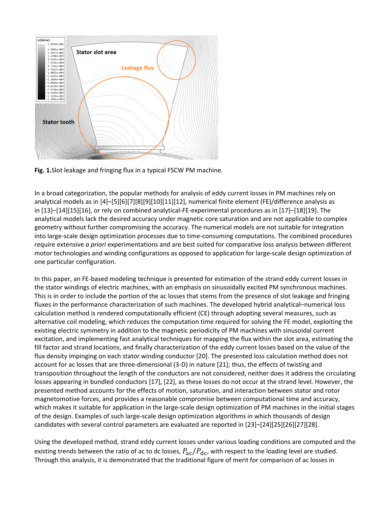

**Fig. 1.**Slot leakage and fringing flux in a typical FSCW PM machine.

In a broad categorization, the popular methods for analysis of eddy current losses in PM machines rely on analytical models as in [4]–[5][6][7][8][9][10][11][12], numerical finite element (FE)/difference analysis as in [13]–[14][15][16], or rely on combined analytical-FE-experimental procedures as in [17]–[18][19]. The analytical models lack the desired accuracy under magnetic core saturation and are not applicable to complex geometry without further compromising the accuracy. The numerical models are not suitable for integration into large-scale design optimization processes due to time-consuming computations. The combined procedures require extensive *a priori* experimentations and are best suited for comparative loss analysis between different motor technologies and winding configurations as opposed to application for large-scale design optimization of one particular configuration.

In this paper, an FE-based modeling technique is presented for estimation of the strand eddy current losses in the stator windings of electric machines, with an emphasis on sinusoidally excited PM synchronous machines. This is in order to include the portion of the ac losses that stems from the presence of slot leakage and fringing fluxes in the performance characterization of such machines. The developed hybrid analytical–numerical loss calculation method is rendered computationally efficient (CE) through adopting several measures, such as alternative coil modeling, which reduces the computation time required for solving the FE model, exploiting the existing electric symmetry in addition to the magnetic periodicity of PM machines with sinusoidal current excitation, and implementing fast analytical techniques for mapping the flux within the slot area, estimating the fill factor and strand locations, and finally characterization of the eddy current losses based on the value of the flux density impinging on each stator winding conductor [20]. The presented loss calculation method does not account for ac losses that are three-dimensional (3-D) in nature [21]; thus, the effects of twisting and transposition throughout the length of the conductors are not considered, neither does it address the circulating losses appearing in bundled conductors [17], [22], as these losses do not occur at the strand level. However, the presented method accounts for the effects of motion, saturation, and interaction between stator and rotor magnetomotive forces, and provides a reasonable compromise between computational time and accuracy, which makes it suitable for application in the large-scale design optimization of PM machines in the initial stages of the design. Examples of such large-scale design optimization algorithms in which thousands of design candidates with several control parameters are evaluated are reported in [23]–[24][25][26][27][28].

Using the developed method, strand eddy current losses under various loading conditions are computed and the existing trends between the ratio of ac to dc losses,  $P_{ac}/P_{dc}$ , with respect to the loading level are studied. Through this analysis, it is demonstrated that the traditional figure of merit for comparison of ac losses in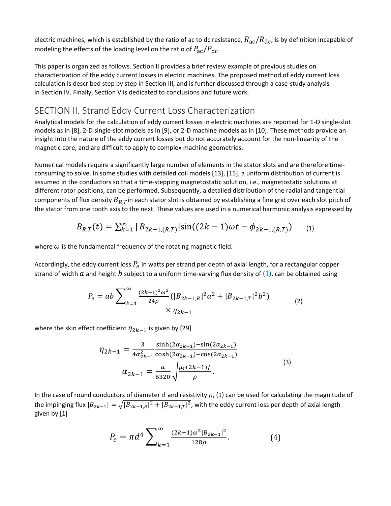electric machines, which is established by the ratio of ac to dc resistance,  $R_{ac}/R_{dc}$ , is by definition incapable of modeling the effects of the loading level on the ratio of  $P_{\rm ac}/P_{\rm dc}$ .

This paper is organized as follows. Section II provides a brief review example of previous studies on characterization of the eddy current losses in electric machines. The proposed method of eddy current loss calculation is described step by step in Section III, and is further discussed through a case-study analysis in Section IV. Finally, Section V is dedicated to conclusions and future work.

### SECTION II. Strand Eddy Current Loss Characterization

Analytical models for the calculation of eddy current losses in electric machines are reported for 1-D single-slot models as in [8], 2-D single-slot models as in [9], or 2-D machine models as in [10]. These methods provide an insight into the nature of the eddy current losses but do not accurately account for the non-linearity of the magnetic core, and are difficult to apply to complex machine geometries.

Numerical models require a significantly large number of elements in the stator slots and are therefore timeconsuming to solve. In some studies with detailed coil models [13], [15], a uniform distribution of current is assumed in the conductors so that a time-stepping magnetostatic solution, i.e., magnetostatic solutions at different rotor positions, can be performed. Subsequently, a detailed distribution of the radial and tangential components of flux density  $B_{RT}$ in each stator slot is obtained by establishing a fine grid over each slot pitch of the stator from one tooth axis to the next. These values are used in a numerical harmonic analysis expressed by

$$
B_{R,T}(t) = \sum_{k=1}^{\infty} |B_{2k-1,(R,T)}| \sin((2k-1)\omega t - \phi_{2k-1,(R,T)}) \quad (1)
$$

where  $\omega$  is the fundamental frequency of the rotating magnetic field.

Accordingly, the eddy current loss  $P_e$  in watts per strand per depth of axial length, for a rectangular copper strand of width a and height b subject to a uniform time-varying flux density of  $(1)$ , can be obtained using

$$
P_e = ab \sum_{k=1}^{\infty} \frac{(2k-1)^2 \omega^2}{24\rho} (|B_{2k-1,R}|^2 a^2 + |B_{2k-1,T}|^2 b^2)
$$
  
×  $\eta_{2k-1}$  (2)

where the skin effect coefficient  $\eta_{2k-1}$  is given by [29]

$$
\eta_{2k-1} = \frac{3}{4\alpha_{2k-1}^2} \frac{\sinh(2\alpha_{2k-1}) - \sin(2\alpha_{2k-1})}{\cosh(2\alpha_{2k-1}) - \cos(2\alpha_{2k-1})}
$$
  

$$
\alpha_{2k-1} = \frac{a}{6320} \sqrt{\frac{\mu_r(2k-1)f}{\rho}}.
$$
 (3)

In the case of round conductors of diameter d and resistivity  $\rho$ , [\(1\)](https://ieeexplore.ieee.org/document/#deqn1) can be used for calculating the magnitude of the impinging flux  $|B_{2k-1}| = \sqrt{|B_{2k-1,R}|^2 + |B_{2k-1,T}|^2}$ , with the eddy current loss per depth of axial length given by [1]

$$
P_e = \pi d^4 \sum_{k=1}^{\infty} \frac{(2k-1)\omega^2 |B_{2k-1}|^2}{128\rho}.
$$
 (4)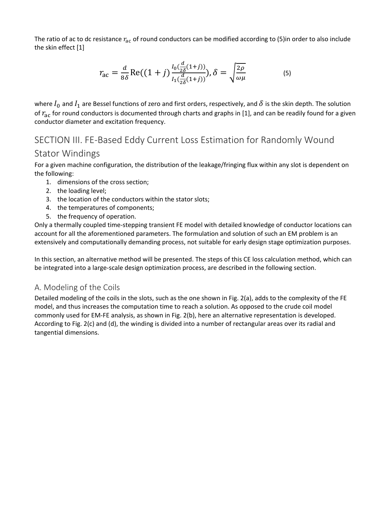The ratio of ac to dc resistance  $r_{ac}$  of round conductors can be modified according to [\(5\)i](https://ieeexplore.ieee.org/document/#deqn5)n order to also include the skin effect [1]

$$
r_{\rm ac} = \frac{d}{8\delta} \text{Re}((1+j)\frac{I_0(\frac{d}{2\delta}(1+j))}{I_1(\frac{d}{2\delta}(1+j))}), \delta = \sqrt{\frac{2\rho}{\omega\mu}}
$$
(5)

where  $I_0$  and  $I_1$  are Bessel functions of zero and first orders, respectively, and  $\delta$  is the skin depth. The solution of  $r_{ac}$  for round conductors is documented through charts and graphs in [1], and can be readily found for a given conductor diameter and excitation frequency.

### SECTION III. FE-Based Eddy Current Loss Estimation for Randomly Wound

### Stator Windings

For a given machine configuration, the distribution of the leakage/fringing flux within any slot is dependent on the following:

- 1. dimensions of the cross section;
- 2. the loading level;
- 3. the location of the conductors within the stator slots;
- 4. the temperatures of components;
- 5. the frequency of operation.

Only a thermally coupled time-stepping transient FE model with detailed knowledge of conductor locations can account for all the aforementioned parameters. The formulation and solution of such an EM problem is an extensively and computationally demanding process, not suitable for early design stage optimization purposes.

In this section, an alternative method will be presented. The steps of this CE loss calculation method, which can be integrated into a large-scale design optimization process, are described in the following section.

### A. Modeling of the Coils

Detailed modeling of the coils in the slots, such as the one shown in Fig. 2(a), adds to the complexity of the FE model, and thus increases the computation time to reach a solution. As opposed to the crude coil model commonly used for EM-FE analysis, as shown in Fig. 2(b), here an alternative representation is developed. According to Fig. 2(c) and (d), the winding is divided into a number of rectangular areas over its radial and tangential dimensions.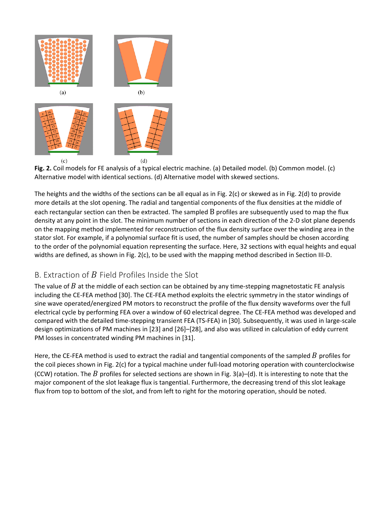

**Fig. 2.** Coil models for FE analysis of a typical electric machine. (a) Detailed model. (b) Common model. (c) Alternative model with identical sections. (d) Alternative model with skewed sections.

The heights and the widths of the sections can be all equal as in Fig. 2(c) or skewed as in Fig. 2(d) to provide more details at the slot opening. The radial and tangential components of the flux densities at the middle of each rectangular section can then be extracted. The sampled B profiles are subsequently used to map the flux density at any point in the slot. The minimum number of sections in each direction of the 2-D slot plane depends on the mapping method implemented for reconstruction of the flux density surface over the winding area in the stator slot. For example, if a polynomial surface fit is used, the number of samples should be chosen according to the order of the polynomial equation representing the surface. Here, 32 sections with equal heights and equal widths are defined, as shown in Fig. 2(c), to be used with the mapping method described in Section III-D.

### B. Extraction of  $B$  Field Profiles Inside the Slot

The value of  $B$  at the middle of each section can be obtained by any time-stepping magnetostatic FE analysis including the CE-FEA method [30]. The CE-FEA method exploits the electric symmetry in the stator windings of sine wave operated/energized PM motors to reconstruct the profile of the flux density waveforms over the full electrical cycle by performing FEA over a window of 60 electrical degree. The CE-FEA method was developed and compared with the detailed time-stepping transient FEA (TS-FEA) in [30]. Subsequently, it was used in large-scale design optimizations of PM machines in [23] and [26]–[28], and also was utilized in calculation of eddy current PM losses in concentrated winding PM machines in [31].

Here, the CE-FEA method is used to extract the radial and tangential components of the sampled  $B$  profiles for the coil pieces shown in Fig. 2(c) for a typical machine under full-load motoring operation with counterclockwise (CCW) rotation. The B profiles for selected sections are shown in Fig. 3(a)–(d). It is interesting to note that the major component of the slot leakage flux is tangential. Furthermore, the decreasing trend of this slot leakage flux from top to bottom of the slot, and from left to right for the motoring operation, should be noted.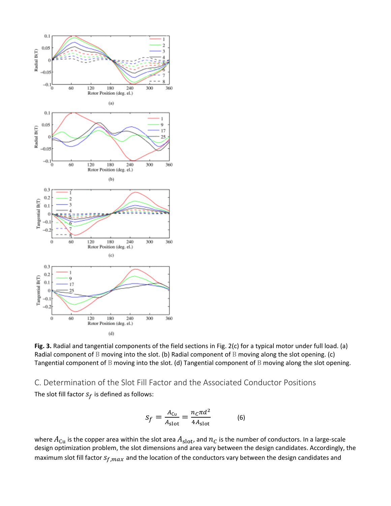

**Fig. 3.** Radial and tangential components of the field sections in Fig. 2(c) for a typical motor under full load. (a) Radial component of B moving into the slot. (b) Radial component of B moving along the slot opening. (c) Tangential component of B moving into the slot. (d) Tangential component of B moving along the slot opening.

C. Determination of the Slot Fill Factor and the Associated Conductor Positions The slot fill factor  $S_f$  is defined as follows:

$$
S_f = \frac{A_{\text{Cu}}}{A_{\text{slot}}} = \frac{n_c \pi d^2}{4A_{\text{slot}}} \tag{6}
$$

where  $A_{\text{Cu}}$  is the copper area within the slot area  $A_{\text{slot}}$ , and  $n_c$  is the number of conductors. In a large-scale design optimization problem, the slot dimensions and area vary between the design candidates. Accordingly, the maximum slot fill factor  $s_{f,max}$  and the location of the conductors vary between the design candidates and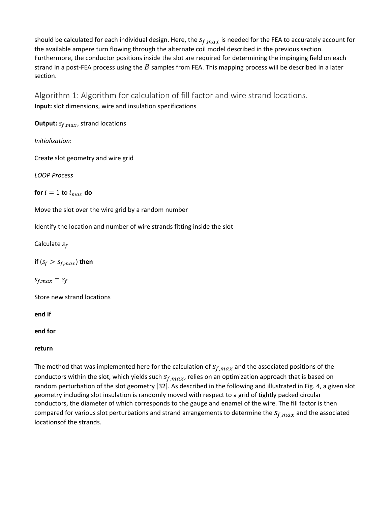should be calculated for each individual design. Here, the  $s_{f,max}$  is needed for the FEA to accurately account for the available ampere turn flowing through the alternate coil model described in the previous section. Furthermore, the conductor positions inside the slot are required for determining the impinging field on each strand in a post-FEA process using the  $B$  samples from FEA. This mapping process will be described in a later section.

Algorithm 1: Algorithm for calculation of fill factor and wire strand locations. **Input:** slot dimensions, wire and insulation specifications

**Output:**  $s_{f,max}$ , strand locations

*Initialization*:

Create slot geometry and wire grid

*LOOP Process*

**for**  $i = 1$  to  $i_{max}$  do

Move the slot over the wire grid by a random number

Identify the location and number of wire strands fitting inside the slot

Calculate  $s_f$ 

**if**  $(s_f > s_{f,max})$  then

 $s_{f,max} = s_f$ 

Store new strand locations

**end if**

**end for**

#### **return**

The method that was implemented here for the calculation of  $s_{f,max}$  and the associated positions of the conductors within the slot, which yields such  $s_{f,max}$ , relies on an optimization approach that is based on random perturbation of the slot geometry [32]. As described in the following and illustrated in Fig. 4, a given slot geometry including slot insulation is randomly moved with respect to a grid of tightly packed circular conductors, the diameter of which corresponds to the gauge and enamel of the wire. The fill factor is then compared for various slot perturbations and strand arrangements to determine the  $s_{f,max}$  and the associated locationsof the strands.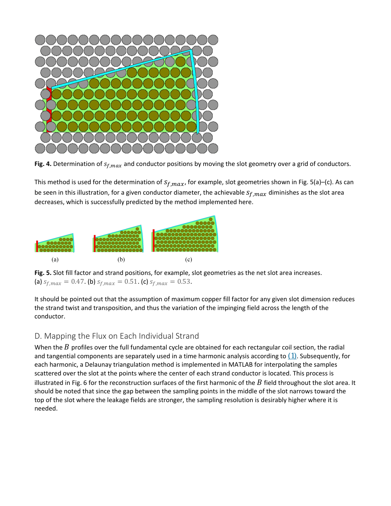

**Fig. 4.** Determination of  $s_{f,max}$  and conductor positions by moving the slot geometry over a grid of conductors.

This method is used for the determination of  $s_{f,max}$ , for example, slot geometries shown in Fig. 5(a)–(c). As can be seen in this illustration, for a given conductor diameter, the achievable  $s_{f,max}$  diminishes as the slot area decreases, which is successfully predicted by the method implemented here.



**Fig. 5.** Slot fill factor and strand positions, for example, slot geometries as the net slot area increases. (a)  $s_{f,max} = 0.47$ . (b)  $s_{f,max} = 0.51$ . (c)  $s_{f,max} = 0.53$ .

It should be pointed out that the assumption of maximum copper fill factor for any given slot dimension reduces the strand twist and transposition, and thus the variation of the impinging field across the length of the conductor.

### D. Mapping the Flux on Each Individual Strand

When the  $B$  profiles over the full fundamental cycle are obtained for each rectangular coil section, the radial and tangential components are separately used in a time harmonic analysis according to  $(1)$ . Subsequently, for each harmonic, a Delaunay triangulation method is implemented in MATLAB for interpolating the samples scattered over the slot at the points where the center of each strand conductor is located. This process is illustrated in Fig. 6 for the reconstruction surfaces of the first harmonic of the  $B$  field throughout the slot area. It should be noted that since the gap between the sampling points in the middle of the slot narrows toward the top of the slot where the leakage fields are stronger, the sampling resolution is desirably higher where it is needed.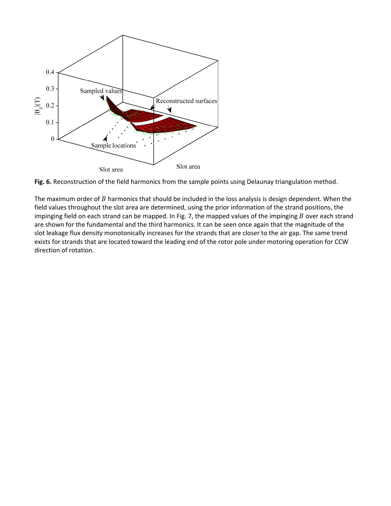

**Fig. 6.** Reconstruction of the field harmonics from the sample points using Delaunay triangulation method.

The maximum order of  $B$  harmonics that should be included in the loss analysis is design dependent. When the field values throughout the slot area are determined, using the prior information of the strand positions, the impinging field on each strand can be mapped. In Fig. 7, the mapped values of the impinging  $B$  over each strand are shown for the fundamental and the third harmonics. It can be seen once again that the magnitude of the slot leakage flux density monotonically increases for the strands that are closer to the air gap. The same trend exists for strands that are located toward the leading end of the rotor pole under motoring operation for CCW direction of rotation.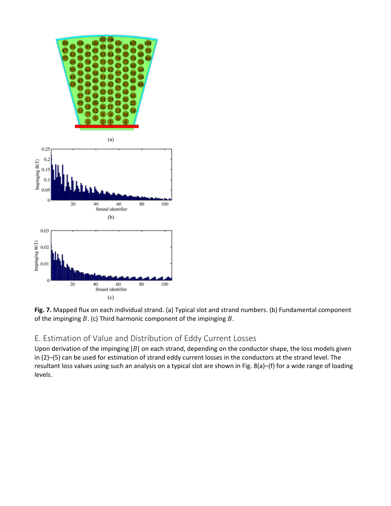



### E. Estimation of Value and Distribution of Eddy Current Losses

Upon derivation of the impinging  $|B|$  on each strand, depending on the conductor shape, the loss models given in [\(2\)](https://ieeexplore.ieee.org/document/#deqn2)[–\(5\)](https://ieeexplore.ieee.org/document/#deqn5) can be used for estimation of strand eddy current losses in the conductors at the strand level. The resultant loss values using such an analysis on a typical slot are shown in Fig. 8(a)–(f) for a wide range of loading levels.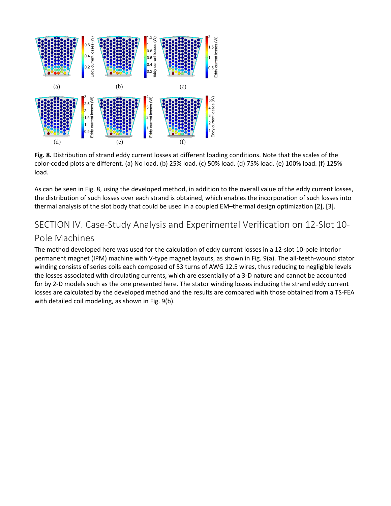

**Fig. 8.** Distribution of strand eddy current losses at different loading conditions. Note that the scales of the color-coded plots are different. (a) No load. (b) 25% load. (c) 50% load. (d) 75% load. (e) 100% load. (f) 125% load.

As can be seen in Fig. 8, using the developed method, in addition to the overall value of the eddy current losses, the distribution of such losses over each strand is obtained, which enables the incorporation of such losses into thermal analysis of the slot body that could be used in a coupled EM–thermal design optimization [2], [3].

### SECTION IV. Case-Study Analysis and Experimental Verification on 12-Slot 10- Pole Machines

The method developed here was used for the calculation of eddy current losses in a 12-slot 10-pole interior permanent magnet (IPM) machine with V-type magnet layouts, as shown in Fig. 9(a). The all-teeth-wound stator winding consists of series coils each composed of 53 turns of AWG 12.5 wires, thus reducing to negligible levels the losses associated with circulating currents, which are essentially of a 3-D nature and cannot be accounted for by 2-D models such as the one presented here. The stator winding losses including the strand eddy current losses are calculated by the developed method and the results are compared with those obtained from a TS-FEA with detailed coil modeling, as shown in Fig. 9(b).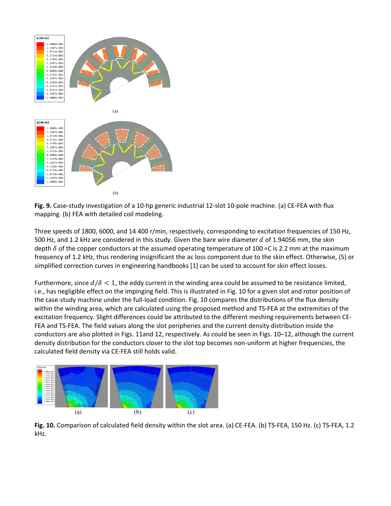

**Fig. 9.** Case-study investigation of a 10-hp generic industrial 12-slot 10-pole machine. (a) CE-FEA with flux mapping. (b) FEA with detailed coil modeling.

Three speeds of 1800, 6000, and 14 400 r/min, respectively, corresponding to excitation frequencies of 150 Hz, 500 Hz, and 1.2 kHz are considered in this study. Given the bare wire diameter  $d$  of 1.94056 mm, the skin depth  $\delta$  of the copper conductors at the assumed operating temperature of 100 ∘C is 2.2 mm at the maximum frequency of 1.2 kHz, thus rendering insignificant the ac loss component due to the skin effect. Otherwise, [\(5\)](https://ieeexplore.ieee.org/document/#deqn5) or simplified correction curves in engineering handbooks [1] can be used to account for skin effect losses.

Furthermore, since  $d/\delta < 1$ , the eddy current in the winding area could be assumed to be resistance limited, i.e., has negligible effect on the impinging field. This is illustrated in Fig. 10 for a given slot and rotor position of the case-study machine under the full-load condition. Fig. 10 compares the distributions of the flux density within the winding area, which are calculated using the proposed method and TS-FEA at the extremities of the excitation frequency. Slight differences could be attributed to the different meshing requirements between CE-FEA and TS-FEA. The field values along the slot peripheries and the current density distribution inside the conductors are also plotted in Figs. 11and 12, respectively. As could be seen in Figs. 10–12, although the current density distribution for the conductors closer to the slot top becomes non-uniform at higher frequencies, the calculated field density via CE-FEA still holds valid.



**Fig. 10.** Comparison of calculated field density within the slot area. (a) CE-FEA. (b) TS-FEA, 150 Hz. (c) TS-FEA, 1.2 kHz.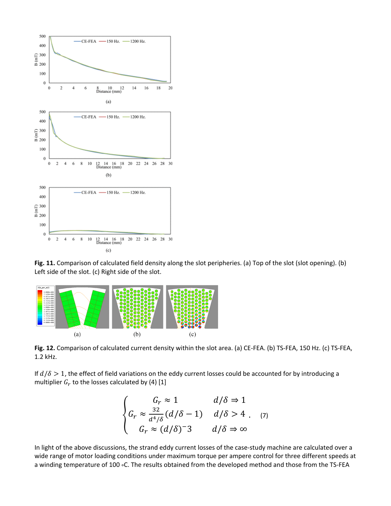

**Fig. 11.** Comparison of calculated field density along the slot peripheries. (a) Top of the slot (slot opening). (b) Left side of the slot. (c) Right side of the slot.



**Fig. 12.** Comparison of calculated current density within the slot area. (a) CE-FEA. (b) TS-FEA, 150 Hz. (c) TS-FEA, 1.2 kHz.

If  $d/\delta > 1$ , the effect of field variations on the eddy current losses could be accounted for by introducing a multiplier  $G_r$  to the losses calculated by [\(4\)](https://ieeexplore.ieee.org/document/#deqn4) [1]

$$
\begin{cases}\nG_r \approx 1 & d/\delta \Rightarrow 1 \\
G_r \approx \frac{32}{d^4/\delta} (d/\delta - 1) & d/\delta > 4 \quad (7) \\
G_r \approx (d/\delta)^{-3} & d/\delta \Rightarrow \infty\n\end{cases}
$$

In light of the above discussions, the strand eddy current losses of the case-study machine are calculated over a wide range of motor loading conditions under maximum torque per ampere control for three different speeds at a winding temperature of 100 ∘C. The results obtained from the developed method and those from the TS-FEA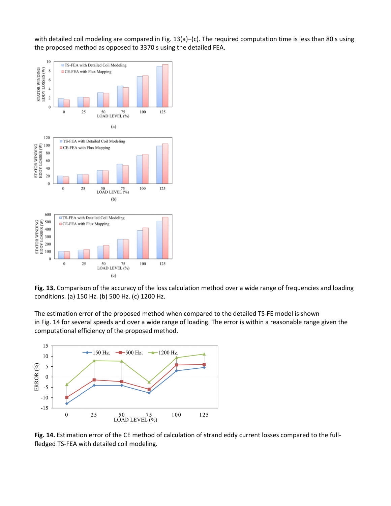with detailed coil modeling are compared in Fig. 13(a)–(c). The required computation time is less than 80 s using the proposed method as opposed to 3370 s using the detailed FEA.



**Fig. 13.** Comparison of the accuracy of the loss calculation method over a wide range of frequencies and loading conditions. (a) 150 Hz. (b) 500 Hz. (c) 1200 Hz.

The estimation error of the proposed method when compared to the detailed TS-FE model is shown in Fig. 14 for several speeds and over a wide range of loading. The error is within a reasonable range given the computational efficiency of the proposed method.



**Fig. 14.** Estimation error of the CE method of calculation of strand eddy current losses compared to the fullfledged TS-FEA with detailed coil modeling.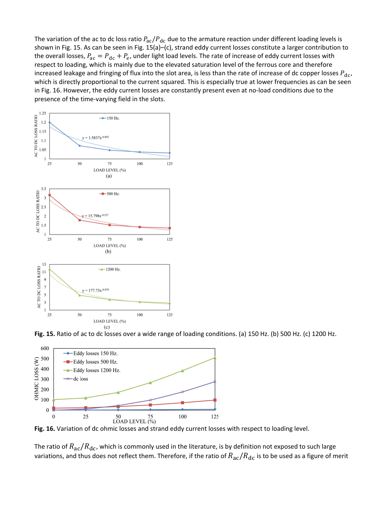The variation of the ac to dc loss ratio  $P_{ac}/P_{dc}$  due to the armature reaction under different loading levels is shown in Fig. 15. As can be seen in Fig. 15(a)–(c), strand eddy current losses constitute a larger contribution to the overall losses,  $P_{ac} = P_{dc} + P_e$ , under light load levels. The rate of increase of eddy current losses with respect to loading, which is mainly due to the elevated saturation level of the ferrous core and therefore increased leakage and fringing of flux into the slot area, is less than the rate of increase of dc copper losses  $P_{dc}$ , which is directly proportional to the current squared. This is especially true at lower frequencies as can be seen in Fig. 16. However, the eddy current losses are constantly present even at no-load conditions due to the presence of the time-varying field in the slots.







**Fig. 16.** Variation of dc ohmic losses and strand eddy current losses with respect to loading level.

The ratio of  $R_{ac}/R_{dc}$ , which is commonly used in the literature, is by definition not exposed to such large variations, and thus does not reflect them. Therefore, if the ratio of  $R_{ac}/R_{dc}$  is to be used as a figure of merit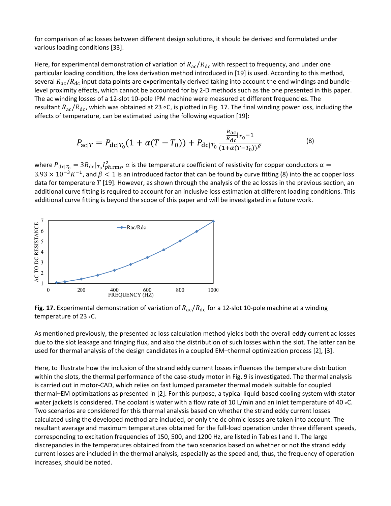for comparison of ac losses between different design solutions, it should be derived and formulated under various loading conditions [33].

Here, for experimental demonstration of variation of  $R_{ac}/R_{dc}$  with respect to frequency, and under one particular loading condition, the loss derivation method introduced in [19] is used. According to this method, several  $R_{ac}/R_{dc}$  input data points are experimentally derived taking into account the end windings and bundlelevel proximity effects, which cannot be accounted for by 2-D methods such as the one presented in this paper. The ac winding losses of a 12-slot 10-pole IPM machine were measured at different frequencies. The resultant  $R_{ac}/R_{dc}$ , which was obtained at 23 ∘C, is plotted in Fig. 17. The final winding power loss, including the effects of temperature, can be estimated using the following equation [19]:

$$
P_{\rm ac|T} = P_{\rm dc|T_0}(1 + \alpha(T - T_0)) + P_{\rm dc|T_0} \frac{\frac{R_{\rm ac}}{R_{\rm dc}|T_0} - 1}{(1 + \alpha(T - T_0))^\beta}
$$
(8)

where  $P_{\text{dc}|T_0} = 3R_{\text{dc}}|_{T_0}I_{ph,rms}^2$ ,  $\alpha$  is the temperature coefficient of resistivity for copper conductors  $\alpha =$  $3.93 \times 10^{-3} K^{-1}$ , and  $\beta < 1$  is an introduced factor that can be found by curve fitting [\(8\)](https://ieeexplore.ieee.org/document/#deqn8) into the ac copper loss data for temperature  $T$  [19]. However, as shown through the analysis of the ac losses in the previous section, an additional curve fitting is required to account for an inclusive loss estimation at different loading conditions. This additional curve fitting is beyond the scope of this paper and will be investigated in a future work.



**Fig. 17.** Experimental demonstration of variation of  $R_{ac}/R_{dc}$  for a 12-slot 10-pole machine at a winding temperature of 23 <sup>∘</sup>C.

As mentioned previously, the presented ac loss calculation method yields both the overall eddy current ac losses due to the slot leakage and fringing flux, and also the distribution of such losses within the slot. The latter can be used for thermal analysis of the design candidates in a coupled EM–thermal optimization process [2], [3].

Here, to illustrate how the inclusion of the strand eddy current losses influences the temperature distribution within the slots, the thermal performance of the case-study motor in Fig. 9 is investigated. The thermal analysis is carried out in motor-CAD, which relies on fast lumped parameter thermal models suitable for coupled thermal–EM optimizations as presented in [2]. For this purpose, a typical liquid-based cooling system with stator water jackets is considered. The coolant is water with a flow rate of 10 L/min and an inlet temperature of 40 ∘C. Two scenarios are considered for this thermal analysis based on whether the strand eddy current losses calculated using the developed method are included, or only the dc ohmic losses are taken into account. The resultant average and maximum temperatures obtained for the full-load operation under three different speeds, corresponding to excitation frequencies of 150, 500, and 1200 Hz, are listed in Tables I and II. The large discrepancies in the temperatures obtained from the two scenarios based on whether or not the strand eddy current losses are included in the thermal analysis, especially as the speed and, thus, the frequency of operation increases, should be noted.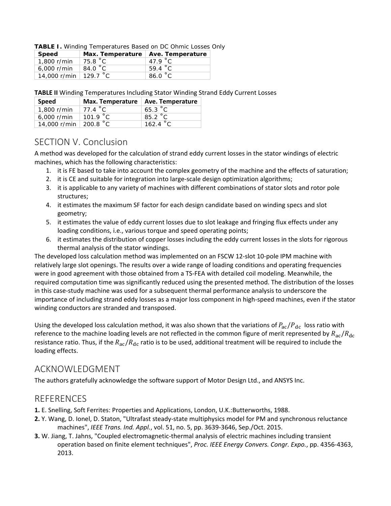| TABLE I. Winding Temperatures Based on DC Ohmic Losses Only |  |  |
|-------------------------------------------------------------|--|--|
|                                                             |  |  |

| Speed                 | Max. Temperature   Ave. Temperature |                   |
|-----------------------|-------------------------------------|-------------------|
| 1,800 r/min           | 75.8 °C                             | 47.9 $^{\circ}$ C |
| $6.000$ r/min         | 84.0 °C                             | 59.4 $\degree$ C  |
| 14,000 r/min 129.7 °C |                                     | 86.0 °C           |

**TABLE II** Winding Temperatures Including Stator Winding Strand Eddy Current Losses

| Speed                 | Max. Temperature   Ave. Temperature |                  |
|-----------------------|-------------------------------------|------------------|
| 1,800 r/min           | 77.4 $^{\circ}$ C                   | 65.3 $\degree$ C |
| 6,000 r/min           | 101.9 °C                            | 85.2 °C          |
| 14,000 r/min 200.8 °C |                                     | 162.4 °C         |

### SECTION V. Conclusion

A method was developed for the calculation of strand eddy current losses in the stator windings of electric machines, which has the following characteristics:

- 1. it is FE based to take into account the complex geometry of the machine and the effects of saturation;
- 2. it is CE and suitable for integration into large-scale design optimization algorithms;
- 3. it is applicable to any variety of machines with different combinations of stator slots and rotor pole structures;
- 4. it estimates the maximum SF factor for each design candidate based on winding specs and slot geometry;
- 5. it estimates the value of eddy current losses due to slot leakage and fringing flux effects under any loading conditions, i.e., various torque and speed operating points;
- 6. it estimates the distribution of copper losses including the eddy current losses in the slots for rigorous thermal analysis of the stator windings.

The developed loss calculation method was implemented on an FSCW 12-slot 10-pole IPM machine with relatively large slot openings. The results over a wide range of loading conditions and operating frequencies were in good agreement with those obtained from a TS-FEA with detailed coil modeling. Meanwhile, the required computation time was significantly reduced using the presented method. The distribution of the losses in this case-study machine was used for a subsequent thermal performance analysis to underscore the importance of including strand eddy losses as a major loss component in high-speed machines, even if the stator winding conductors are stranded and transposed.

Using the developed loss calculation method, it was also shown that the variations of  $P_{ac}/P_{dc}$  loss ratio with reference to the machine loading levels are not reflected in the common figure of merit represented by  $R_{ac}/R_{dc}$ resistance ratio. Thus, if the  $R_{ac}/R_{dc}$  ratio is to be used, additional treatment will be required to include the loading effects.

### ACKNOWLEDGMENT

The authors gratefully acknowledge the software support of Motor Design Ltd., and ANSYS Inc.

### **REFERENCES**

- **1.** E. Snelling, Soft Ferrites: Properties and Applications, London, U.K.:Butterworths, 1988.
- **2.** Y. Wang, D. Ionel, D. Staton, "Ultrafast steady-state multiphysics model for PM and synchronous reluctance machines", *IEEE Trans. Ind. Appl.*, vol. 51, no. 5, pp. 3639-3646, Sep./Oct. 2015.
- **3.** W. Jiang, T. Jahns, "Coupled electromagnetic-thermal analysis of electric machines including transient operation based on finite element techniques", *Proc. IEEE Energy Convers. Congr. Expo.*, pp. 4356-4363, 2013.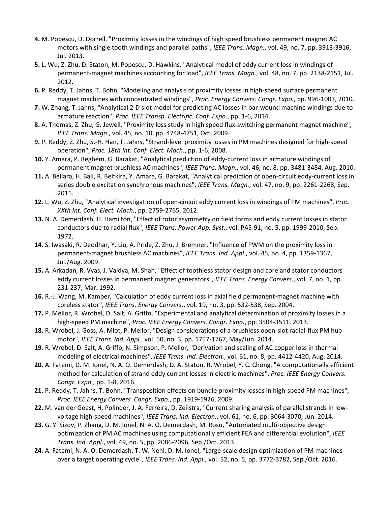- **4.** M. Popescu, D. Dorrell, "Proximity losses in the windings of high speed brushless permanent magnet AC motors with single tooth windings and parallel paths", *IEEE Trans. Magn.*, vol. 49, no. 7, pp. 3913-3916, Jul. 2013.
- **5.** L. Wu, Z. Zhu, D. Staton, M. Popescu, D. Hawkins, "Analytical model of eddy current loss in windings of permanent-magnet machines accounting for load", *IEEE Trans. Magn.*, vol. 48, no. 7, pp. 2138-2151, Jul. 2012.
- **6.** P. Reddy, T. Jahns, T. Bohn, "Modeling and analysis of proximity losses in high-speed surface permanent magnet machines with concentrated windings", *Proc. Energy Convers. Congr. Expo.*, pp. 996-1003, 2010.
- **7.** W. Zhang, T. Jahns, "Analytical 2-D slot model for predicting AC losses in bar-wound machine windings due to armature reaction", *Proc. IEEE Transp. Electrific. Conf. Expo.*, pp. 1-6, 2014.
- **8.** A. Thomas, Z. Zhu, G. Jewell, "Proximity loss study in high speed flux-switching permanent magnet machine", *IEEE Trans. Magn.*, vol. 45, no. 10, pp. 4748-4751, Oct. 2009.
- **9.** P. Reddy, Z. Zhu, S.-H. Han, T. Jahns, "Strand-level proximity losses in PM machines designed for high-speed operation", *Proc. 18th Int. Conf. Elect. Mach.*, pp. 1-6, 2008.
- **10.** Y. Amara, P. Reghem, G. Barakat, "Analytical prediction of eddy-current loss in armature windings of permanent magnet brushless AC machines", *IEEE Trans. Magn.*, vol. 46, no. 8, pp. 3481-3484, Aug. 2010.
- **11.** A. Bellara, H. Bali, R. Belfkira, Y. Amara, G. Barakat, "Analytical prediction of open-circuit eddy-current loss in series double excitation synchronous machines", *IEEE Trans. Magn.*, vol. 47, no. 9, pp. 2261-2268, Sep. 2011.
- **12.** L. Wu, Z. Zhu, "Analytical investigation of open-circuit eddy current loss in windings of PM machines", *Proc. XXth Int. Conf. Elect. Mach.*, pp. 2759-2765, 2012.
- **13.** N. A. Demerdash, H. Hamilton, "Effect of rotor asymmetry on field forms and eddy current losses in stator conductors due to radial flux", *IEEE Trans. Power App. Syst.*, vol. PAS-91, no. 5, pp. 1999-2010, Sep. 1972.
- **14.** S. Iwasaki, R. Deodhar, Y. Liu, A. Pride, Z. Zhu, J. Bremner, "Influence of PWM on the proximity loss in permanent-magnet brushless AC machines", *IEEE Trans. Ind. Appl.*, vol. 45, no. 4, pp. 1359-1367, Jul./Aug. 2009.
- **15.** A. Arkadan, R. Vyas, J. Vaidya, M. Shah, "Effect of toothless stator design and core and stator conductors eddy current losses in permanent magnet generators", *IEEE Trans. Energy Convers.*, vol. 7, no. 1, pp. 231-237, Mar. 1992.
- **16.** R.-J. Wang, M. Kamper, "Calculation of eddy current loss in axial field permanent-magnet machine with coreless stator", *IEEE Trans. Energy Convers.*, vol. 19, no. 3, pp. 532-538, Sep. 2004.
- **17.** P. Mellor, R. Wrobel, D. Salt, A. Griffo, "Experimental and analytical determination of proximity losses in a high-speed PM machine", *Proc. IEEE Energy Convers. Congr. Expo.*, pp. 3504-3511, 2013.
- **18.** R. Wrobel, J. Goss, A. Mlot, P. Mellor, "Design considerations of a brushless open-slot radial-flux PM hub motor", *IEEE Trans. Ind. Appl.*, vol. 50, no. 3, pp. 1757-1767, May/Jun. 2014.
- **19.** R. Wrobel, D. Salt, A. Griffo, N. Simpson, P. Mellor, "Derivation and scaling of AC copper loss in thermal modeling of electrical machines", *IEEE Trans. Ind. Electron.*, vol. 61, no. 8, pp. 4412-4420, Aug. 2014.
- **20.** A. Fatemi, D. M. Ionel, N. A. O. Demerdash, D. A. Staton, R. Wrobel, Y. C. Chong, "A computationally efficient method for calculation of strand eddy current losses in electric machines", *Proc. IEEE Energy Convers. Congr. Expo.*, pp. 1-8, 2016.
- **21.** P. Reddy, T. Jahns, T. Bohn, "Transposition effects on bundle proximity losses in high-speed PM machines", *Proc. IEEE Energy Convers. Congr. Expo.*, pp. 1919-1926, 2009.
- **22.** M. van der Geest, H. Polinder, J. A. Ferreira, D. Zeilstra, "Current sharing analysis of parallel strands in lowvoltage high-speed machines", *IEEE Trans. Ind. Electron.*, vol. 61, no. 6, pp. 3064-3070, Jun. 2014.
- **23.** G. Y. Sizov, P. Zhang, D. M. Ionel, N. A. O. Demerdash, M. Rosu, "Automated multi-objective design optimization of PM AC machines using computationally efficient FEA and differential evolution", *IEEE Trans. Ind. Appl.*, vol. 49, no. 5, pp. 2086-2096, Sep./Oct. 2013.
- **24.** A. Fatemi, N. A. O. Demerdash, T. W. Nehl, D. M. Ionel, "Large-scale design optimization of PM machines over a target operating cycle", *IEEE Trans. Ind. Appl.*, vol. 52, no. 5, pp. 3772-3782, Sep./Oct. 2016.